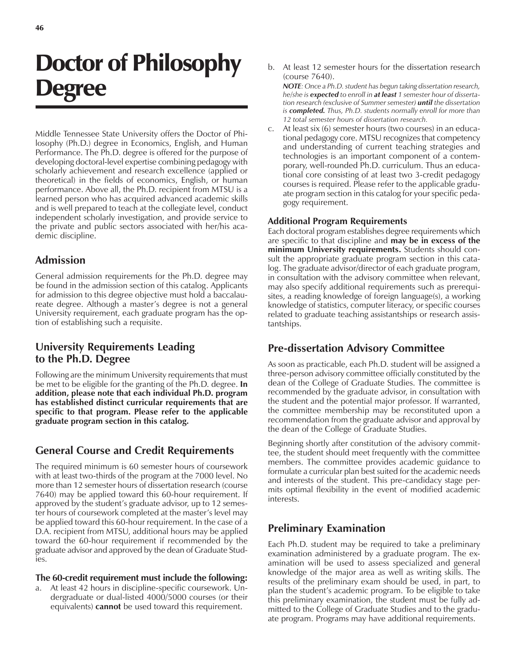# Doctor of Philosophy **Degree**

Middle Tennessee State University offers the Doctor of Philosophy (Ph.D.) degree in Economics, English, and Human Performance. The Ph.D. degree is offered for the purpose of developing doctoral-level expertise combining pedagogy with scholarly achievement and research excellence (applied or theoretical) in the fields of economics, English, or human performance. Above all, the Ph.D. recipient from MTSU is a learned person who has acquired advanced academic skills and is well prepared to teach at the collegiate level, conduct independent scholarly investigation, and provide service to the private and public sectors associated with her/his academic discipline.

### **Admission**

General admission requirements for the Ph.D. degree may be found in the admission section of this catalog. Applicants for admission to this degree objective must hold a baccalaureate degree. Although a master's degree is not a general University requirement, each graduate program has the option of establishing such a requisite.

### **University Requirements Leading to the Ph.D. Degree**

Following are the minimum University requirements that must be met to be eligible for the granting of the Ph.D. degree. **In addition, please note that each individual Ph.D. program has established distinct curricular requirements that are specific to that program. Please refer to the applicable graduate program section in this catalog.**

## **General Course and Credit Requirements**

The required minimum is 60 semester hours of coursework with at least two-thirds of the program at the 7000 level. No more than 12 semester hours of dissertation research (course 7640) may be applied toward this 60-hour requirement. If approved by the student's graduate advisor, up to 12 semester hours of coursework completed at the master's level may be applied toward this 60-hour requirement. In the case of a D.A. recipient from MTSU, additional hours may be applied toward the 60-hour requirement if recommended by the graduate advisor and approved by the dean of Graduate Studies.

#### **The 60-credit requirement must include the following:**

a. At least 42 hours in discipline-specific coursework. Undergraduate or dual-listed 4000/5000 courses (or their equivalents) **cannot** be used toward this requirement.

b. At least 12 semester hours for the dissertation research (course 7640).

*NOTE: Once a Ph.D. student has begun taking dissertation research, he/she is expected to enroll in at least 1 semester hour of dissertation research (exclusive of Summer semester) until the dissertation is completed. Thus, Ph.D. students normally enroll for more than 12 total semester hours of dissertation research.*

c. At least six (6) semester hours (two courses) in an educational pedagogy core. MTSU recognizes that competency and understanding of current teaching strategies and technologies is an important component of a contemporary, well-rounded Ph.D. curriculum. Thus an educational core consisting of at least two 3-credit pedagogy courses is required. Please refer to the applicable graduate program section in this catalog for your specific pedagogy requirement.

#### **Additional Program Requirements**

Each doctoral program establishes degree requirements which are specific to that discipline and **may be in excess of the minimum University requirements.** Students should consult the appropriate graduate program section in this catalog. The graduate advisor/director of each graduate program, in consultation with the advisory committee when relevant, may also specify additional requirements such as prerequisites, a reading knowledge of foreign language(s), a working knowledge of statistics, computer literacy, or specific courses related to graduate teaching assistantships or research assistantships.

#### **Pre-dissertation Advisory Committee**

As soon as practicable, each Ph.D. student will be assigned a three-person advisory committee officially constituted by the dean of the College of Graduate Studies. The committee is recommended by the graduate advisor, in consultation with the student and the potential major professor. If warranted, the committee membership may be reconstituted upon a recommendation from the graduate advisor and approval by the dean of the College of Graduate Studies.

Beginning shortly after constitution of the advisory committee, the student should meet frequently with the committee members. The committee provides academic guidance to formulate a curricular plan best suited for the academic needs and interests of the student. This pre-candidacy stage permits optimal flexibility in the event of modified academic interests.

## **Preliminary Examination**

Each Ph.D. student may be required to take a preliminary examination administered by a graduate program. The examination will be used to assess specialized and general knowledge of the major area as well as writing skills. The results of the preliminary exam should be used, in part, to plan the student's academic program. To be eligible to take this preliminary examination, the student must be fully admitted to the College of Graduate Studies and to the graduate program. Programs may have additional requirements.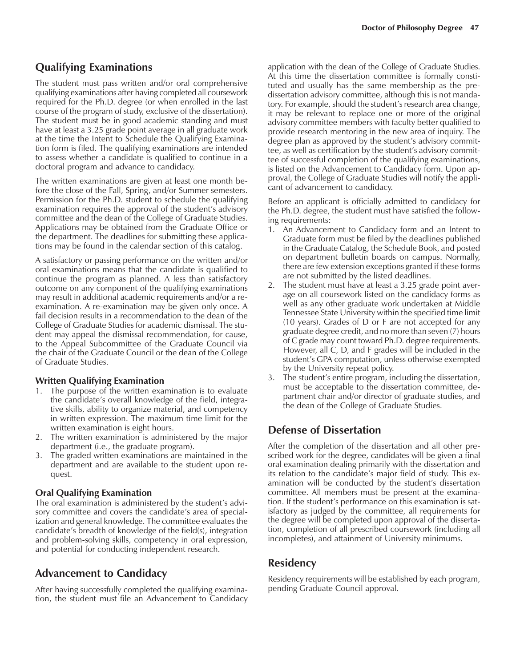## **Qualifying Examinations**

The student must pass written and/or oral comprehensive qualifying examinations after having completed all coursework required for the Ph.D. degree (or when enrolled in the last course of the program of study, exclusive of the dissertation). The student must be in good academic standing and must have at least a 3.25 grade point average in all graduate work at the time the Intent to Schedule the Qualifying Examination form is filed. The qualifying examinations are intended to assess whether a candidate is qualified to continue in a doctoral program and advance to candidacy.

The written examinations are given at least one month before the close of the Fall, Spring, and/or Summer semesters. Permission for the Ph.D. student to schedule the qualifying examination requires the approval of the student's advisory committee and the dean of the College of Graduate Studies. Applications may be obtained from the Graduate Office or the department. The deadlines for submitting these applications may be found in the calendar section of this catalog.

A satisfactory or passing performance on the written and/or oral examinations means that the candidate is qualified to continue the program as planned. A less than satisfactory outcome on any component of the qualifying examinations may result in additional academic requirements and/or a reexamination. A re-examination may be given only once. A fail decision results in a recommendation to the dean of the College of Graduate Studies for academic dismissal. The student may appeal the dismissal recommendation, for cause, to the Appeal Subcommittee of the Graduate Council via the chair of the Graduate Council or the dean of the College of Graduate Studies.

#### **Written Qualifying Examination**

- 1. The purpose of the written examination is to evaluate the candidate's overall knowledge of the field, integrative skills, ability to organize material, and competency in written expression. The maximum time limit for the written examination is eight hours.
- 2. The written examination is administered by the major department (i.e., the graduate program).
- 3. The graded written examinations are maintained in the department and are available to the student upon request.

#### **Oral Qualifying Examination**

The oral examination is administered by the student's advisory committee and covers the candidate's area of specialization and general knowledge. The committee evaluates the candidate's breadth of knowledge of the field(s), integration and problem-solving skills, competency in oral expression, and potential for conducting independent research.

# **Advancement to Candidacy**

After having successfully completed the qualifying examination, the student must file an Advancement to Candidacy

application with the dean of the College of Graduate Studies. At this time the dissertation committee is formally constituted and usually has the same membership as the predissertation advisory committee, although this is not mandatory. For example, should the student's research area change, it may be relevant to replace one or more of the original advisory committee members with faculty better qualified to provide research mentoring in the new area of inquiry. The degree plan as approved by the student's advisory committee, as well as certification by the student's advisory committee of successful completion of the qualifying examinations, is listed on the Advancement to Candidacy form. Upon approval, the College of Graduate Studies will notify the applicant of advancement to candidacy.

Before an applicant is officially admitted to candidacy for the Ph.D. degree, the student must have satisfied the following requirements:

- 1. An Advancement to Candidacy form and an Intent to Graduate form must be filed by the deadlines published in the Graduate Catalog, the Schedule Book, and posted on department bulletin boards on campus. Normally, there are few extension exceptions granted if these forms are not submitted by the listed deadlines.
- 2. The student must have at least a 3.25 grade point average on all coursework listed on the candidacy forms as well as any other graduate work undertaken at Middle Tennessee State University within the specified time limit (10 years). Grades of D or F are not accepted for any graduate degree credit, and no more than seven (7) hours of C grade may count toward Ph.D. degree requirements. However, all C, D, and F grades will be included in the student's GPA computation, unless otherwise exempted by the University repeat policy.
- 3. The student's entire program, including the dissertation, must be acceptable to the dissertation committee, department chair and/or director of graduate studies, and the dean of the College of Graduate Studies.

# **Defense of Dissertation**

After the completion of the dissertation and all other prescribed work for the degree, candidates will be given a final oral examination dealing primarily with the dissertation and its relation to the candidate's major field of study. This examination will be conducted by the student's dissertation committee. All members must be present at the examination. If the student's performance on this examination is satisfactory as judged by the committee, all requirements for the degree will be completed upon approval of the dissertation, completion of all prescribed coursework (including all incompletes), and attainment of University minimums.

# **Residency**

Residency requirements will be established by each program, pending Graduate Council approval.